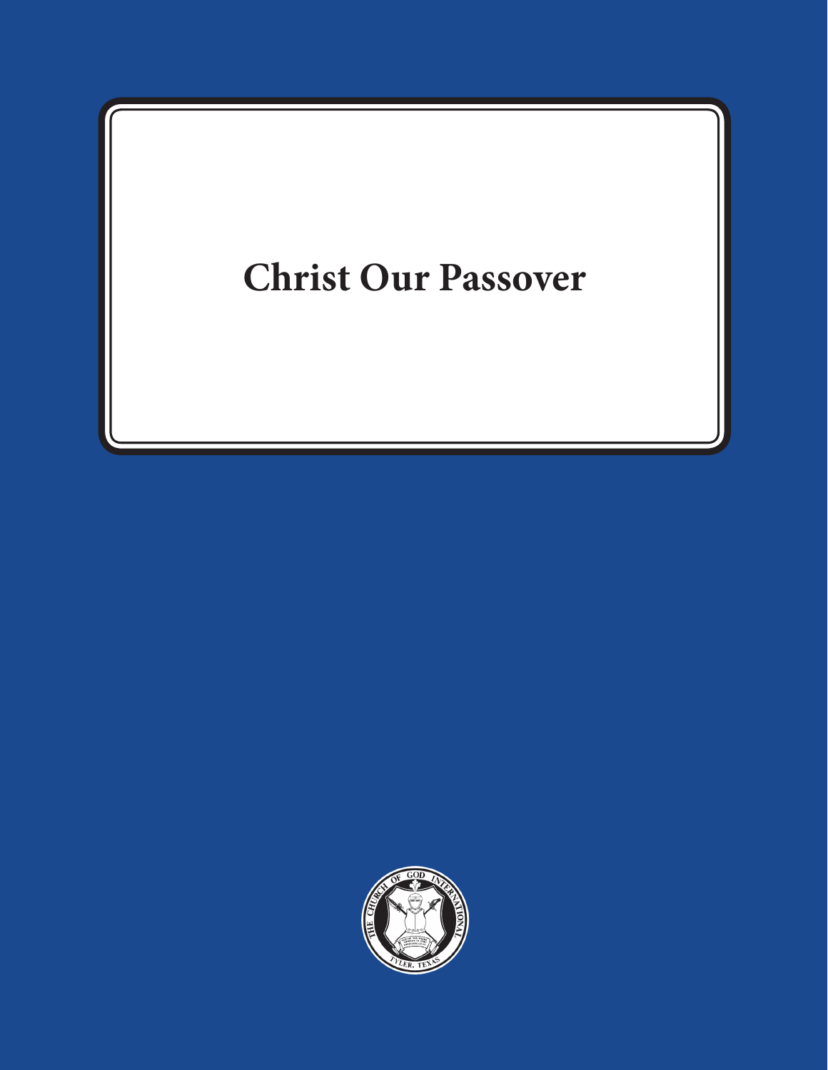# **Christ Our Passover**

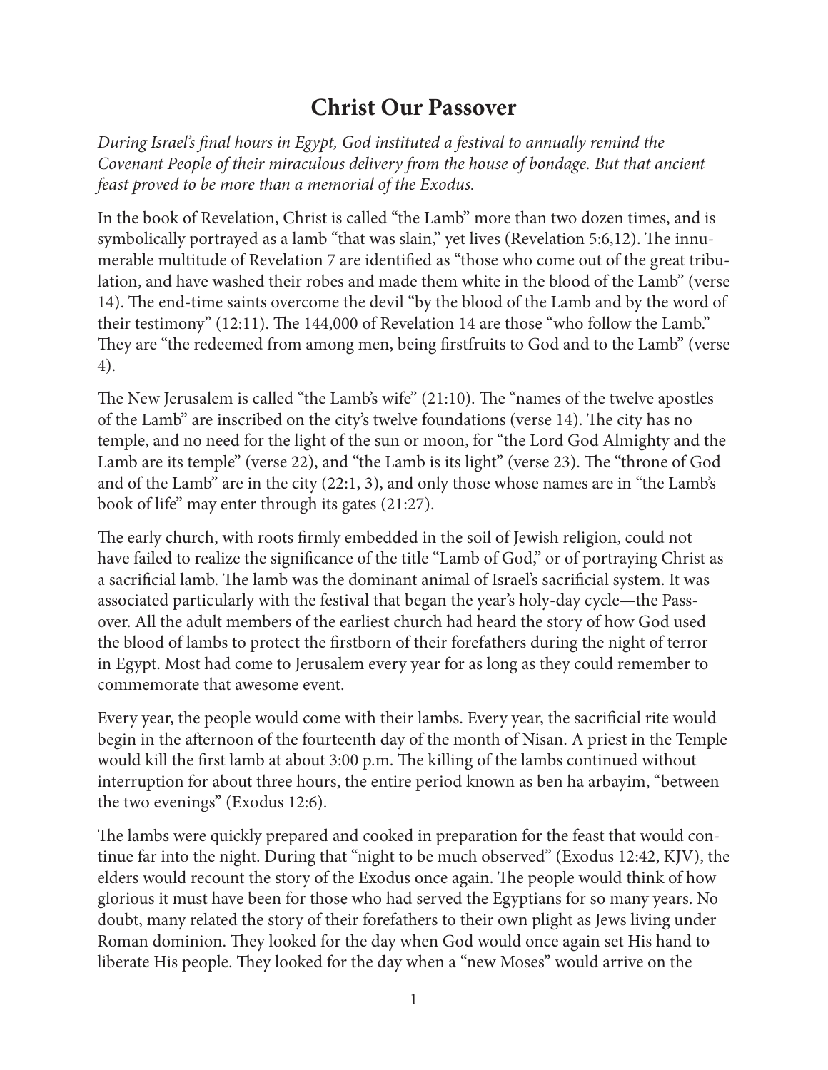# **Christ Our Passover**

*During Israel's final hours in Egypt, God instituted a festival to annually remind the Covenant People of their miraculous delivery from the house of bondage. But that ancient feast proved to be more than a memorial of the Exodus.*

In the book of Revelation, Christ is called "the Lamb" more than two dozen times, and is symbolically portrayed as a lamb "that was slain," yet lives (Revelation 5:6,12). The innumerable multitude of Revelation 7 are identified as "those who come out of the great tribulation, and have washed their robes and made them white in the blood of the Lamb" (verse 14). The end-time saints overcome the devil "by the blood of the Lamb and by the word of their testimony" (12:11). The 144,000 of Revelation 14 are those "who follow the Lamb." They are "the redeemed from among men, being firstfruits to God and to the Lamb" (verse 4).

The New Jerusalem is called "the Lamb's wife" (21:10). The "names of the twelve apostles of the Lamb" are inscribed on the city's twelve foundations (verse 14). The city has no temple, and no need for the light of the sun or moon, for "the Lord God Almighty and the Lamb are its temple" (verse 22), and "the Lamb is its light" (verse 23). The "throne of God and of the Lamb" are in the city (22:1, 3), and only those whose names are in "the Lamb's book of life" may enter through its gates (21:27).

The early church, with roots firmly embedded in the soil of Jewish religion, could not have failed to realize the significance of the title "Lamb of God," or of portraying Christ as a sacrificial lamb. The lamb was the dominant animal of Israel's sacrificial system. It was associated particularly with the festival that began the year's holy-day cycle—the Passover. All the adult members of the earliest church had heard the story of how God used the blood of lambs to protect the firstborn of their forefathers during the night of terror in Egypt. Most had come to Jerusalem every year for as long as they could remember to commemorate that awesome event.

Every year, the people would come with their lambs. Every year, the sacrificial rite would begin in the afternoon of the fourteenth day of the month of Nisan. A priest in the Temple would kill the first lamb at about 3:00 p.m. The killing of the lambs continued without interruption for about three hours, the entire period known as ben ha arbayim, "between the two evenings" (Exodus 12:6).

The lambs were quickly prepared and cooked in preparation for the feast that would continue far into the night. During that "night to be much observed" (Exodus 12:42, KJV), the elders would recount the story of the Exodus once again. The people would think of how glorious it must have been for those who had served the Egyptians for so many years. No doubt, many related the story of their forefathers to their own plight as Jews living under Roman dominion. They looked for the day when God would once again set His hand to liberate His people. They looked for the day when a "new Moses" would arrive on the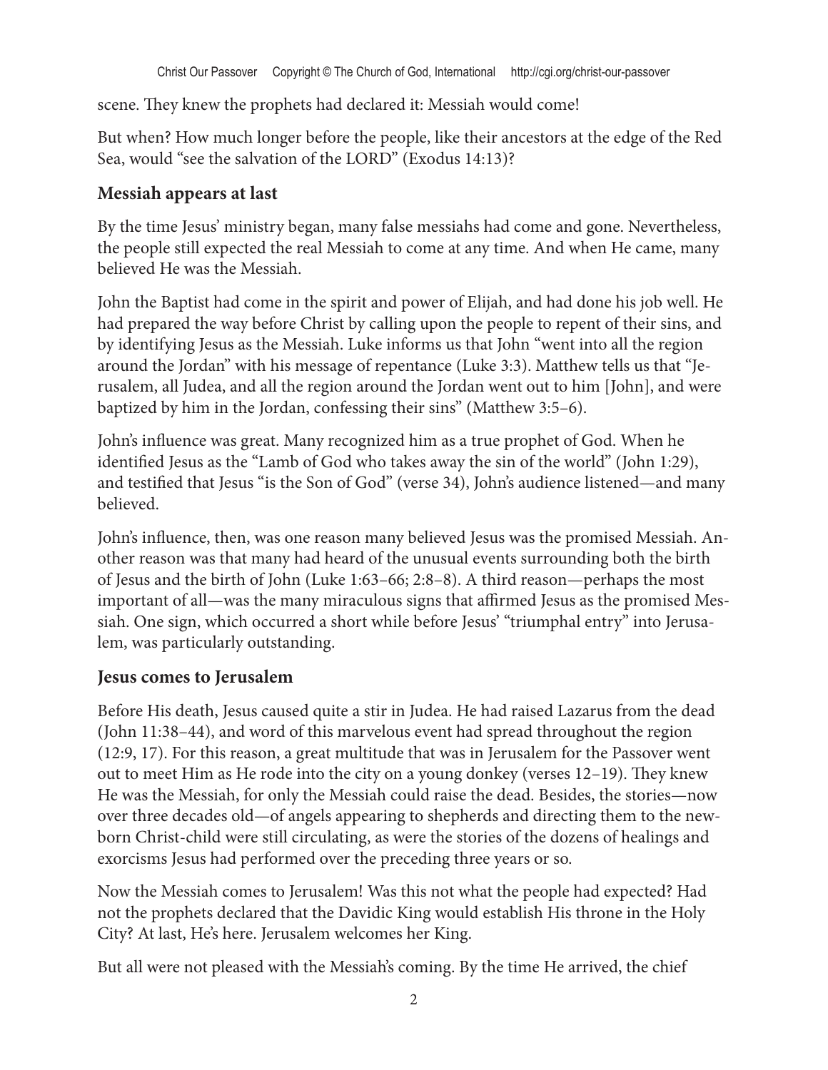scene. They knew the prophets had declared it: Messiah would come!

But when? How much longer before the people, like their ancestors at the edge of the Red Sea, would "see the salvation of the LORD" (Exodus 14:13)?

#### **Messiah appears at last**

By the time Jesus' ministry began, many false messiahs had come and gone. Nevertheless, the people still expected the real Messiah to come at any time. And when He came, many believed He was the Messiah.

John the Baptist had come in the spirit and power of Elijah, and had done his job well. He had prepared the way before Christ by calling upon the people to repent of their sins, and by identifying Jesus as the Messiah. Luke informs us that John "went into all the region around the Jordan" with his message of repentance (Luke 3:3). Matthew tells us that "Jerusalem, all Judea, and all the region around the Jordan went out to him [John], and were baptized by him in the Jordan, confessing their sins" (Matthew 3:5–6).

John's influence was great. Many recognized him as a true prophet of God. When he identified Jesus as the "Lamb of God who takes away the sin of the world" (John 1:29), and testified that Jesus "is the Son of God" (verse 34), John's audience listened—and many believed.

John's influence, then, was one reason many believed Jesus was the promised Messiah. Another reason was that many had heard of the unusual events surrounding both the birth of Jesus and the birth of John (Luke 1:63–66; 2:8–8). A third reason—perhaps the most important of all—was the many miraculous signs that affirmed Jesus as the promised Messiah. One sign, which occurred a short while before Jesus' "triumphal entry" into Jerusalem, was particularly outstanding.

#### **Jesus comes to Jerusalem**

Before His death, Jesus caused quite a stir in Judea. He had raised Lazarus from the dead (John 11:38–44), and word of this marvelous event had spread throughout the region (12:9, 17). For this reason, a great multitude that was in Jerusalem for the Passover went out to meet Him as He rode into the city on a young donkey (verses 12–19). They knew He was the Messiah, for only the Messiah could raise the dead. Besides, the stories—now over three decades old—of angels appearing to shepherds and directing them to the newborn Christ-child were still circulating, as were the stories of the dozens of healings and exorcisms Jesus had performed over the preceding three years or so.

Now the Messiah comes to Jerusalem! Was this not what the people had expected? Had not the prophets declared that the Davidic King would establish His throne in the Holy City? At last, He's here. Jerusalem welcomes her King.

But all were not pleased with the Messiah's coming. By the time He arrived, the chief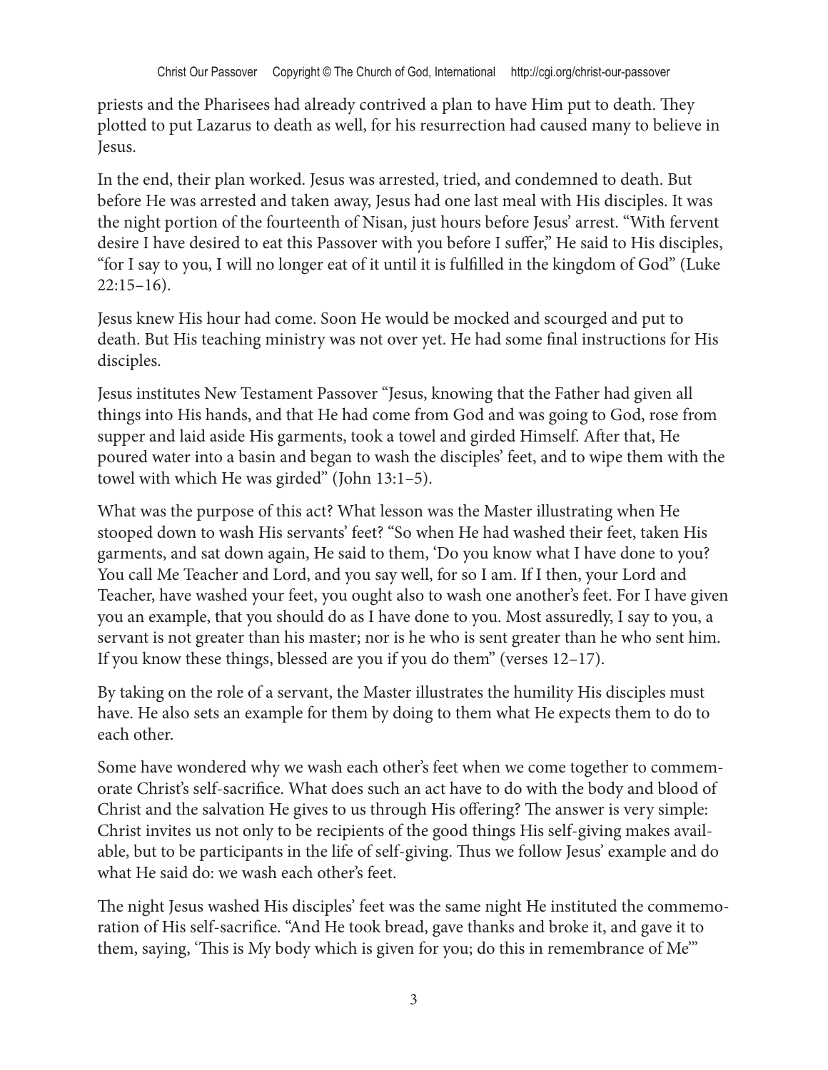priests and the Pharisees had already contrived a plan to have Him put to death. They plotted to put Lazarus to death as well, for his resurrection had caused many to believe in Jesus.

In the end, their plan worked. Jesus was arrested, tried, and condemned to death. But before He was arrested and taken away, Jesus had one last meal with His disciples. It was the night portion of the fourteenth of Nisan, just hours before Jesus' arrest. "With fervent desire I have desired to eat this Passover with you before I suffer," He said to His disciples, "for I say to you, I will no longer eat of it until it is fulfilled in the kingdom of God" (Luke  $22:15-16$ ).

Jesus knew His hour had come. Soon He would be mocked and scourged and put to death. But His teaching ministry was not over yet. He had some final instructions for His disciples.

Jesus institutes New Testament Passover "Jesus, knowing that the Father had given all things into His hands, and that He had come from God and was going to God, rose from supper and laid aside His garments, took a towel and girded Himself. After that, He poured water into a basin and began to wash the disciples' feet, and to wipe them with the towel with which He was girded" (John 13:1–5).

What was the purpose of this act? What lesson was the Master illustrating when He stooped down to wash His servants' feet? "So when He had washed their feet, taken His garments, and sat down again, He said to them, 'Do you know what I have done to you? You call Me Teacher and Lord, and you say well, for so I am. If I then, your Lord and Teacher, have washed your feet, you ought also to wash one another's feet. For I have given you an example, that you should do as I have done to you. Most assuredly, I say to you, a servant is not greater than his master; nor is he who is sent greater than he who sent him. If you know these things, blessed are you if you do them" (verses 12–17).

By taking on the role of a servant, the Master illustrates the humility His disciples must have. He also sets an example for them by doing to them what He expects them to do to each other.

Some have wondered why we wash each other's feet when we come together to commemorate Christ's self-sacrifice. What does such an act have to do with the body and blood of Christ and the salvation He gives to us through His offering? The answer is very simple: Christ invites us not only to be recipients of the good things His self-giving makes available, but to be participants in the life of self-giving. Thus we follow Jesus' example and do what He said do: we wash each other's feet.

The night Jesus washed His disciples' feet was the same night He instituted the commemoration of His self-sacrifice. "And He took bread, gave thanks and broke it, and gave it to them, saying, 'This is My body which is given for you; do this in remembrance of Me'"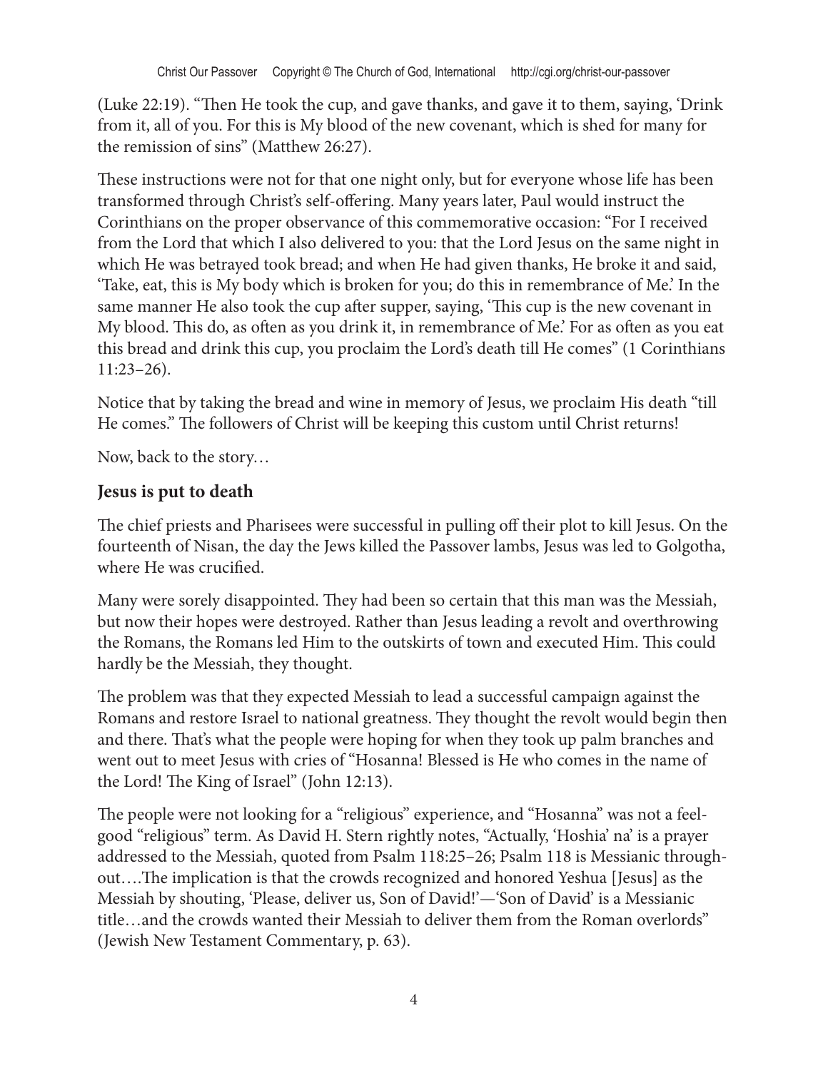(Luke 22:19). "Then He took the cup, and gave thanks, and gave it to them, saying, 'Drink from it, all of you. For this is My blood of the new covenant, which is shed for many for the remission of sins" (Matthew 26:27).

These instructions were not for that one night only, but for everyone whose life has been transformed through Christ's self-offering. Many years later, Paul would instruct the Corinthians on the proper observance of this commemorative occasion: "For I received from the Lord that which I also delivered to you: that the Lord Jesus on the same night in which He was betrayed took bread; and when He had given thanks, He broke it and said, 'Take, eat, this is My body which is broken for you; do this in remembrance of Me.' In the same manner He also took the cup after supper, saying, 'This cup is the new covenant in My blood. This do, as often as you drink it, in remembrance of Me.' For as often as you eat this bread and drink this cup, you proclaim the Lord's death till He comes" (1 Corinthians 11:23–26).

Notice that by taking the bread and wine in memory of Jesus, we proclaim His death "till He comes." The followers of Christ will be keeping this custom until Christ returns!

Now, back to the story…

#### **Jesus is put to death**

The chief priests and Pharisees were successful in pulling off their plot to kill Jesus. On the fourteenth of Nisan, the day the Jews killed the Passover lambs, Jesus was led to Golgotha, where He was crucified.

Many were sorely disappointed. They had been so certain that this man was the Messiah, but now their hopes were destroyed. Rather than Jesus leading a revolt and overthrowing the Romans, the Romans led Him to the outskirts of town and executed Him. This could hardly be the Messiah, they thought.

The problem was that they expected Messiah to lead a successful campaign against the Romans and restore Israel to national greatness. They thought the revolt would begin then and there. That's what the people were hoping for when they took up palm branches and went out to meet Jesus with cries of "Hosanna! Blessed is He who comes in the name of the Lord! The King of Israel" (John 12:13).

The people were not looking for a "religious" experience, and "Hosanna" was not a feelgood "religious" term. As David H. Stern rightly notes, "Actually, 'Hoshia' na' is a prayer addressed to the Messiah, quoted from Psalm 118:25–26; Psalm 118 is Messianic throughout….The implication is that the crowds recognized and honored Yeshua [Jesus] as the Messiah by shouting, 'Please, deliver us, Son of David!'—'Son of David' is a Messianic title…and the crowds wanted their Messiah to deliver them from the Roman overlords" (Jewish New Testament Commentary, p. 63).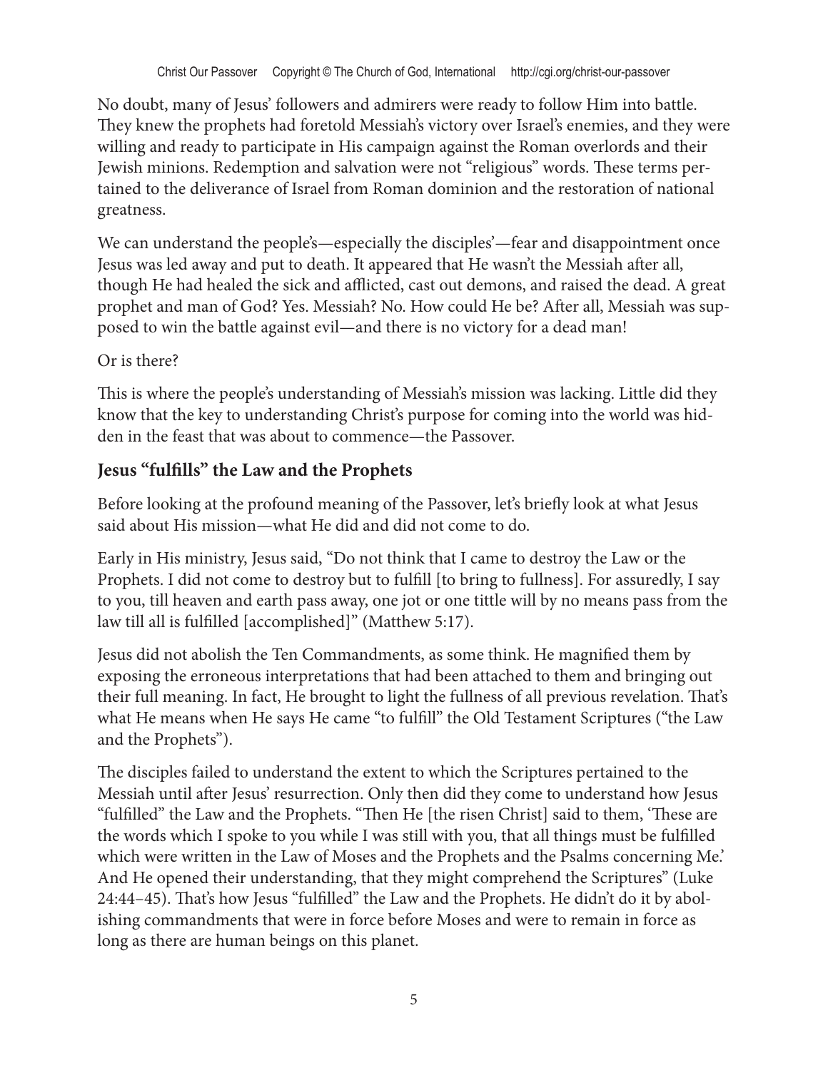No doubt, many of Jesus' followers and admirers were ready to follow Him into battle. They knew the prophets had foretold Messiah's victory over Israel's enemies, and they were willing and ready to participate in His campaign against the Roman overlords and their Jewish minions. Redemption and salvation were not "religious" words. These terms pertained to the deliverance of Israel from Roman dominion and the restoration of national greatness.

We can understand the people's—especially the disciples'—fear and disappointment once Jesus was led away and put to death. It appeared that He wasn't the Messiah after all, though He had healed the sick and afflicted, cast out demons, and raised the dead. A great prophet and man of God? Yes. Messiah? No. How could He be? After all, Messiah was supposed to win the battle against evil—and there is no victory for a dead man!

#### Or is there?

This is where the people's understanding of Messiah's mission was lacking. Little did they know that the key to understanding Christ's purpose for coming into the world was hidden in the feast that was about to commence—the Passover.

#### **Jesus "fulfills" the Law and the Prophets**

Before looking at the profound meaning of the Passover, let's briefly look at what Jesus said about His mission—what He did and did not come to do.

Early in His ministry, Jesus said, "Do not think that I came to destroy the Law or the Prophets. I did not come to destroy but to fulfill [to bring to fullness]. For assuredly, I say to you, till heaven and earth pass away, one jot or one tittle will by no means pass from the law till all is fulfilled [accomplished]" (Matthew 5:17).

Jesus did not abolish the Ten Commandments, as some think. He magnified them by exposing the erroneous interpretations that had been attached to them and bringing out their full meaning. In fact, He brought to light the fullness of all previous revelation. That's what He means when He says He came "to fulfill" the Old Testament Scriptures ("the Law and the Prophets").

The disciples failed to understand the extent to which the Scriptures pertained to the Messiah until after Jesus' resurrection. Only then did they come to understand how Jesus "fulfilled" the Law and the Prophets. "Then He [the risen Christ] said to them, 'These are the words which I spoke to you while I was still with you, that all things must be fulfilled which were written in the Law of Moses and the Prophets and the Psalms concerning Me.' And He opened their understanding, that they might comprehend the Scriptures" (Luke 24:44–45). That's how Jesus "fulfilled" the Law and the Prophets. He didn't do it by abolishing commandments that were in force before Moses and were to remain in force as long as there are human beings on this planet.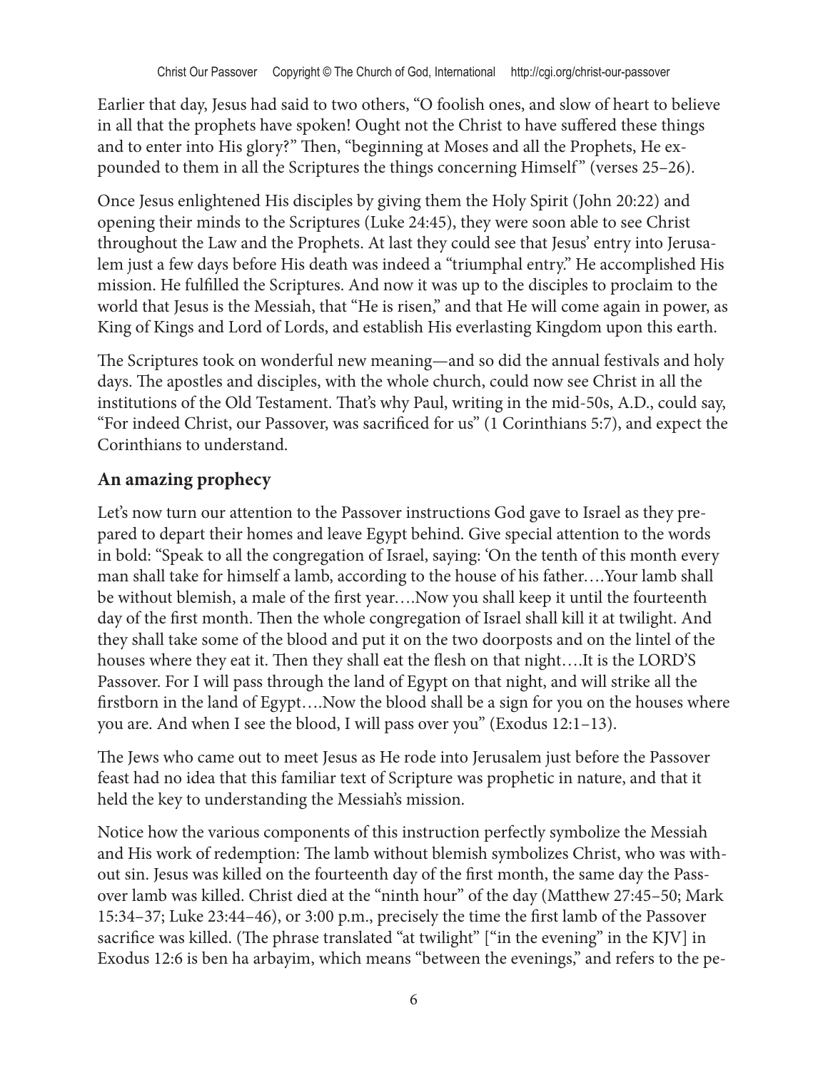Earlier that day, Jesus had said to two others, "O foolish ones, and slow of heart to believe in all that the prophets have spoken! Ought not the Christ to have suffered these things and to enter into His glory?" Then, "beginning at Moses and all the Prophets, He expounded to them in all the Scriptures the things concerning Himself" (verses 25–26).

Once Jesus enlightened His disciples by giving them the Holy Spirit (John 20:22) and opening their minds to the Scriptures (Luke 24:45), they were soon able to see Christ throughout the Law and the Prophets. At last they could see that Jesus' entry into Jerusalem just a few days before His death was indeed a "triumphal entry." He accomplished His mission. He fulfilled the Scriptures. And now it was up to the disciples to proclaim to the world that Jesus is the Messiah, that "He is risen," and that He will come again in power, as King of Kings and Lord of Lords, and establish His everlasting Kingdom upon this earth.

The Scriptures took on wonderful new meaning—and so did the annual festivals and holy days. The apostles and disciples, with the whole church, could now see Christ in all the institutions of the Old Testament. That's why Paul, writing in the mid-50s, A.D., could say, "For indeed Christ, our Passover, was sacrificed for us" (1 Corinthians 5:7), and expect the Corinthians to understand.

### **An amazing prophecy**

Let's now turn our attention to the Passover instructions God gave to Israel as they prepared to depart their homes and leave Egypt behind. Give special attention to the words in bold: "Speak to all the congregation of Israel, saying: 'On the tenth of this month every man shall take for himself a lamb, according to the house of his father….Your lamb shall be without blemish, a male of the first year….Now you shall keep it until the fourteenth day of the first month. Then the whole congregation of Israel shall kill it at twilight. And they shall take some of the blood and put it on the two doorposts and on the lintel of the houses where they eat it. Then they shall eat the flesh on that night….It is the LORD'S Passover. For I will pass through the land of Egypt on that night, and will strike all the firstborn in the land of Egypt….Now the blood shall be a sign for you on the houses where you are. And when I see the blood, I will pass over you" (Exodus 12:1–13).

The Jews who came out to meet Jesus as He rode into Jerusalem just before the Passover feast had no idea that this familiar text of Scripture was prophetic in nature, and that it held the key to understanding the Messiah's mission.

Notice how the various components of this instruction perfectly symbolize the Messiah and His work of redemption: The lamb without blemish symbolizes Christ, who was without sin. Jesus was killed on the fourteenth day of the first month, the same day the Passover lamb was killed. Christ died at the "ninth hour" of the day (Matthew 27:45–50; Mark 15:34–37; Luke 23:44–46), or 3:00 p.m., precisely the time the first lamb of the Passover sacrifice was killed. (The phrase translated "at twilight" ["in the evening" in the KJV] in Exodus 12:6 is ben ha arbayim, which means "between the evenings," and refers to the pe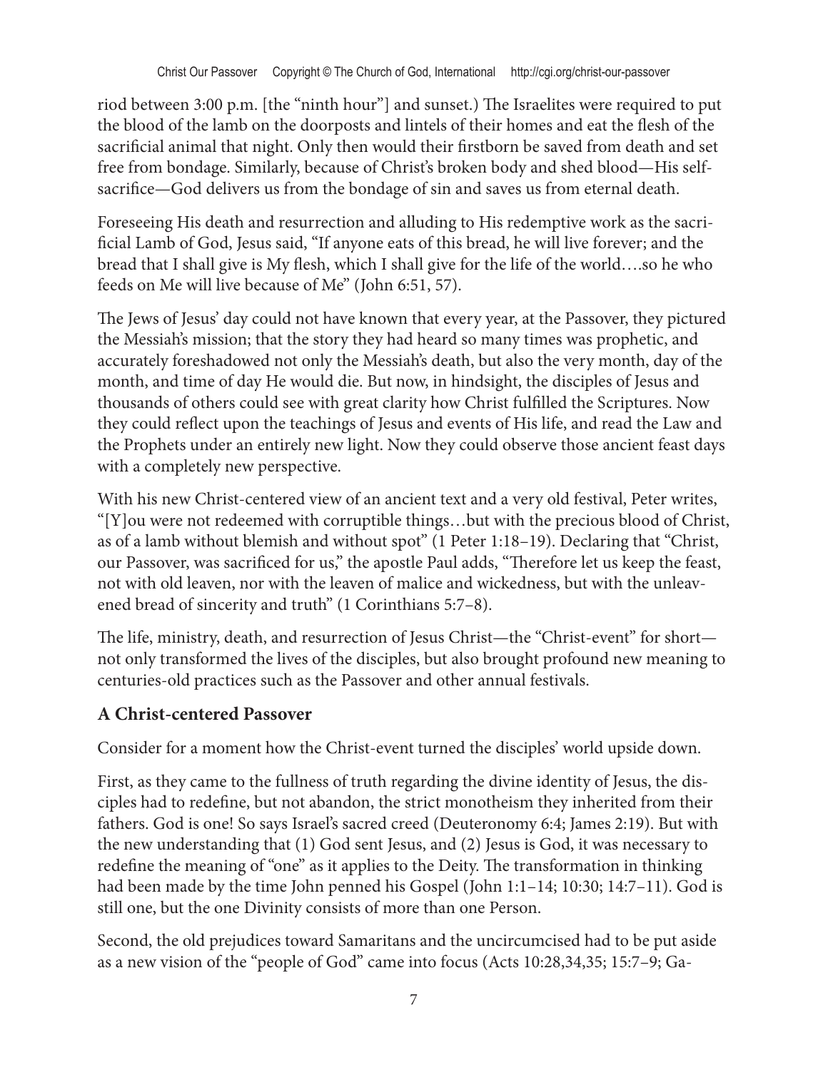riod between 3:00 p.m. [the "ninth hour"] and sunset.) The Israelites were required to put the blood of the lamb on the doorposts and lintels of their homes and eat the flesh of the sacrificial animal that night. Only then would their firstborn be saved from death and set free from bondage. Similarly, because of Christ's broken body and shed blood—His selfsacrifice—God delivers us from the bondage of sin and saves us from eternal death.

Foreseeing His death and resurrection and alluding to His redemptive work as the sacrificial Lamb of God, Jesus said, "If anyone eats of this bread, he will live forever; and the bread that I shall give is My flesh, which I shall give for the life of the world….so he who feeds on Me will live because of Me" (John 6:51, 57).

The Jews of Jesus' day could not have known that every year, at the Passover, they pictured the Messiah's mission; that the story they had heard so many times was prophetic, and accurately foreshadowed not only the Messiah's death, but also the very month, day of the month, and time of day He would die. But now, in hindsight, the disciples of Jesus and thousands of others could see with great clarity how Christ fulfilled the Scriptures. Now they could reflect upon the teachings of Jesus and events of His life, and read the Law and the Prophets under an entirely new light. Now they could observe those ancient feast days with a completely new perspective.

With his new Christ-centered view of an ancient text and a very old festival, Peter writes, "[Y]ou were not redeemed with corruptible things…but with the precious blood of Christ, as of a lamb without blemish and without spot" (1 Peter 1:18–19). Declaring that "Christ, our Passover, was sacrificed for us," the apostle Paul adds, "Therefore let us keep the feast, not with old leaven, nor with the leaven of malice and wickedness, but with the unleavened bread of sincerity and truth" (1 Corinthians 5:7–8).

The life, ministry, death, and resurrection of Jesus Christ—the "Christ-event" for short not only transformed the lives of the disciples, but also brought profound new meaning to centuries-old practices such as the Passover and other annual festivals.

#### **A Christ-centered Passover**

Consider for a moment how the Christ-event turned the disciples' world upside down.

First, as they came to the fullness of truth regarding the divine identity of Jesus, the disciples had to redefine, but not abandon, the strict monotheism they inherited from their fathers. God is one! So says Israel's sacred creed (Deuteronomy 6:4; James 2:19). But with the new understanding that (1) God sent Jesus, and (2) Jesus is God, it was necessary to redefine the meaning of "one" as it applies to the Deity. The transformation in thinking had been made by the time John penned his Gospel (John 1:1–14; 10:30; 14:7–11). God is still one, but the one Divinity consists of more than one Person.

Second, the old prejudices toward Samaritans and the uncircumcised had to be put aside as a new vision of the "people of God" came into focus (Acts 10:28,34,35; 15:7–9; Ga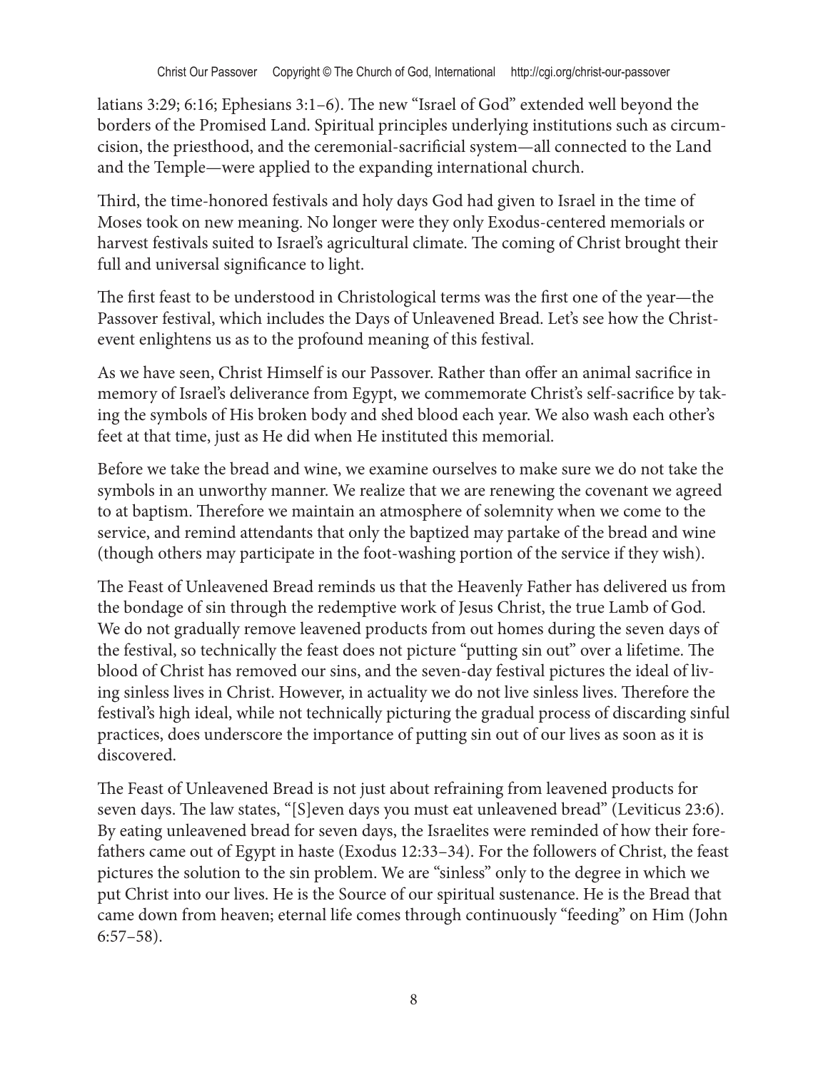latians 3:29; 6:16; Ephesians 3:1–6). The new "Israel of God" extended well beyond the borders of the Promised Land. Spiritual principles underlying institutions such as circumcision, the priesthood, and the ceremonial-sacrificial system—all connected to the Land and the Temple—were applied to the expanding international church.

Third, the time-honored festivals and holy days God had given to Israel in the time of Moses took on new meaning. No longer were they only Exodus-centered memorials or harvest festivals suited to Israel's agricultural climate. The coming of Christ brought their full and universal significance to light.

The first feast to be understood in Christological terms was the first one of the year—the Passover festival, which includes the Days of Unleavened Bread. Let's see how the Christevent enlightens us as to the profound meaning of this festival.

As we have seen, Christ Himself is our Passover. Rather than offer an animal sacrifice in memory of Israel's deliverance from Egypt, we commemorate Christ's self-sacrifice by taking the symbols of His broken body and shed blood each year. We also wash each other's feet at that time, just as He did when He instituted this memorial.

Before we take the bread and wine, we examine ourselves to make sure we do not take the symbols in an unworthy manner. We realize that we are renewing the covenant we agreed to at baptism. Therefore we maintain an atmosphere of solemnity when we come to the service, and remind attendants that only the baptized may partake of the bread and wine (though others may participate in the foot-washing portion of the service if they wish).

The Feast of Unleavened Bread reminds us that the Heavenly Father has delivered us from the bondage of sin through the redemptive work of Jesus Christ, the true Lamb of God. We do not gradually remove leavened products from out homes during the seven days of the festival, so technically the feast does not picture "putting sin out" over a lifetime. The blood of Christ has removed our sins, and the seven-day festival pictures the ideal of living sinless lives in Christ. However, in actuality we do not live sinless lives. Therefore the festival's high ideal, while not technically picturing the gradual process of discarding sinful practices, does underscore the importance of putting sin out of our lives as soon as it is discovered.

The Feast of Unleavened Bread is not just about refraining from leavened products for seven days. The law states, "[S]even days you must eat unleavened bread" (Leviticus 23:6). By eating unleavened bread for seven days, the Israelites were reminded of how their forefathers came out of Egypt in haste (Exodus 12:33–34). For the followers of Christ, the feast pictures the solution to the sin problem. We are "sinless" only to the degree in which we put Christ into our lives. He is the Source of our spiritual sustenance. He is the Bread that came down from heaven; eternal life comes through continuously "feeding" on Him (John 6:57–58).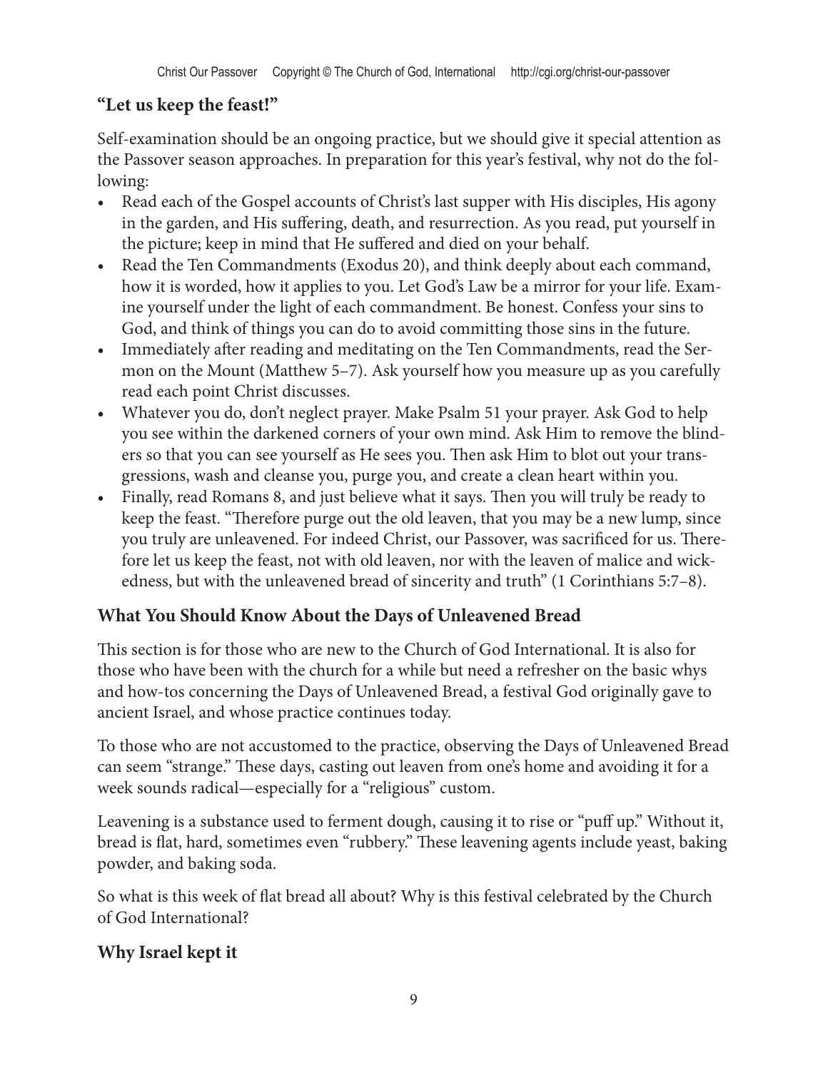# **"Let us keep the feast!"**

Self-examination should be an ongoing practice, but we should give it special attention as the Passover season approaches. In preparation for this year's festival, why not do the following:

- Read each of the Gospel accounts of Christ's last supper with His disciples, His agony in the garden, and His suffering, death, and resurrection. As you read, put yourself in the picture; keep in mind that He suffered and died on your behalf.
- Read the Ten Commandments (Exodus 20), and think deeply about each command, how it is worded, how it applies to you. Let God's Law be a mirror for your life. Examine yourself under the light of each commandment. Be honest. Confess your sins to God, and think of things you can do to avoid committing those sins in the future.
- Immediately after reading and meditating on the Ten Commandments, read the Sermon on the Mount (Matthew 5–7). Ask yourself how you measure up as you carefully read each point Christ discusses.
- Whatever you do, don't neglect prayer. Make Psalm 51 your prayer. Ask God to help you see within the darkened corners of your own mind. Ask Him to remove the blinders so that you can see yourself as He sees you. Then ask Him to blot out your transgressions, wash and cleanse you, purge you, and create a clean heart within you.
- Finally, read Romans 8, and just believe what it says. Then you will truly be ready to keep the feast. "Therefore purge out the old leaven, that you may be a new lump, since you truly are unleavened. For indeed Christ, our Passover, was sacrificed for us. Therefore let us keep the feast, not with old leaven, nor with the leaven of malice and wickedness, but with the unleavened bread of sincerity and truth" (1 Corinthians 5:7–8).

# **What You Should Know About the Days of Unleavened Bread**

This section is for those who are new to the Church of God International. It is also for those who have been with the church for a while but need a refresher on the basic whys and how-tos concerning the Days of Unleavened Bread, a festival God originally gave to ancient Israel, and whose practice continues today.

To those who are not accustomed to the practice, observing the Days of Unleavened Bread can seem "strange." These days, casting out leaven from one's home and avoiding it for a week sounds radical—especially for a "religious" custom.

Leavening is a substance used to ferment dough, causing it to rise or "puff up." Without it, bread is flat, hard, sometimes even "rubbery." These leavening agents include yeast, baking powder, and baking soda.

So what is this week of flat bread all about? Why is this festival celebrated by the Church of God International?

# **Why Israel kept it**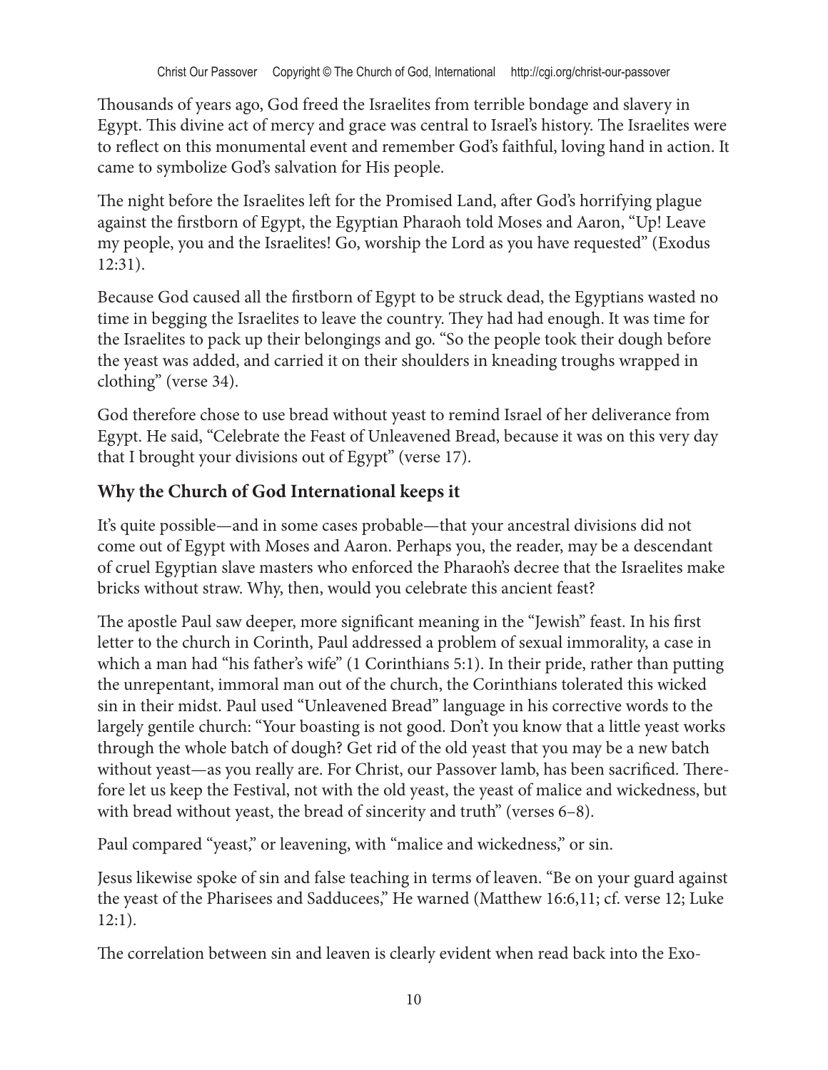Thousands of years ago, God freed the Israelites from terrible bondage and slavery in Egypt. This divine act of mercy and grace was central to Israel's history. The Israelites were to reflect on this monumental event and remember God's faithful, loving hand in action. It came to symbolize God's salvation for His people.

The night before the Israelites left for the Promised Land, after God's horrifying plague against the firstborn of Egypt, the Egyptian Pharaoh told Moses and Aaron, "Up! Leave my people, you and the Israelites! Go, worship the Lord as you have requested" (Exodus 12:31).

Because God caused all the firstborn of Egypt to be struck dead, the Egyptians wasted no time in begging the Israelites to leave the country. They had had enough. It was time for the Israelites to pack up their belongings and go. "So the people took their dough before the yeast was added, and carried it on their shoulders in kneading troughs wrapped in clothing" (verse 34).

God therefore chose to use bread without yeast to remind Israel of her deliverance from Egypt. He said, "Celebrate the Feast of Unleavened Bread, because it was on this very day that I brought your divisions out of Egypt" (verse 17).

#### **Why the Church of God International keeps it**

It's quite possible—and in some cases probable—that your ancestral divisions did not come out of Egypt with Moses and Aaron. Perhaps you, the reader, may be a descendant of cruel Egyptian slave masters who enforced the Pharaoh's decree that the Israelites make bricks without straw. Why, then, would you celebrate this ancient feast?

The apostle Paul saw deeper, more significant meaning in the "Jewish" feast. In his first letter to the church in Corinth, Paul addressed a problem of sexual immorality, a case in which a man had "his father's wife" (1 Corinthians 5:1). In their pride, rather than putting the unrepentant, immoral man out of the church, the Corinthians tolerated this wicked sin in their midst. Paul used "Unleavened Bread" language in his corrective words to the largely gentile church: "Your boasting is not good. Don't you know that a little yeast works through the whole batch of dough? Get rid of the old yeast that you may be a new batch without yeast—as you really are. For Christ, our Passover lamb, has been sacrificed. Therefore let us keep the Festival, not with the old yeast, the yeast of malice and wickedness, but with bread without yeast, the bread of sincerity and truth" (verses 6–8).

Paul compared "yeast," or leavening, with "malice and wickedness," or sin.

Jesus likewise spoke of sin and false teaching in terms of leaven. "Be on your guard against the yeast of the Pharisees and Sadducees," He warned (Matthew 16:6,11; cf. verse 12; Luke 12:1).

The correlation between sin and leaven is clearly evident when read back into the Exo-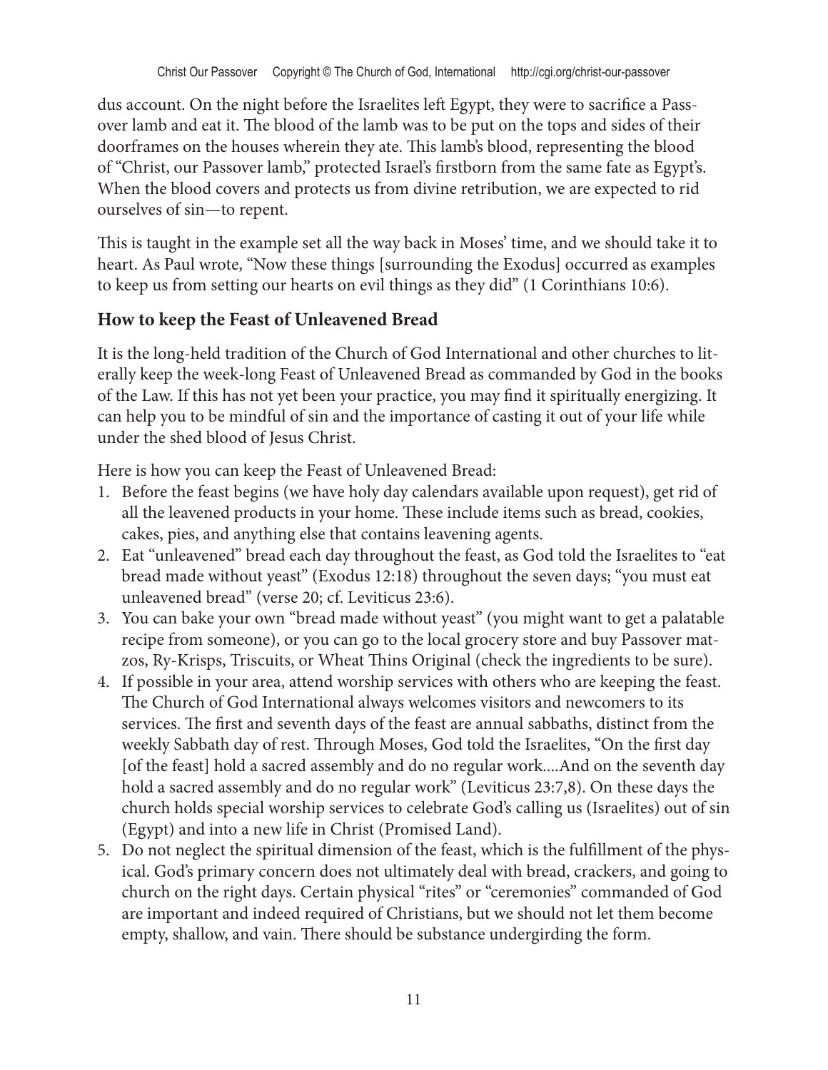dus account. On the night before the Israelites left Egypt, they were to sacrifice a Passover lamb and eat it. The blood of the lamb was to be put on the tops and sides of their doorframes on the houses wherein they ate. This lamb's blood, representing the blood of "Christ, our Passover lamb," protected Israel's firstborn from the same fate as Egypt's. When the blood covers and protects us from divine retribution, we are expected to rid ourselves of sin—to repent.

This is taught in the example set all the way back in Moses' time, and we should take it to heart. As Paul wrote, "Now these things [surrounding the Exodus] occurred as examples to keep us from setting our hearts on evil things as they did" (1 Corinthians 10:6).

#### **How to keep the Feast of Unleavened Bread**

It is the long-held tradition of the Church of God International and other churches to literally keep the week-long Feast of Unleavened Bread as commanded by God in the books of the Law. If this has not yet been your practice, you may find it spiritually energizing. It can help you to be mindful of sin and the importance of casting it out of your life while under the shed blood of Jesus Christ.

Here is how you can keep the Feast of Unleavened Bread:

- 1. Before the feast begins (we have holy day calendars available upon request), get rid of all the leavened products in your home. These include items such as bread, cookies, cakes, pies, and anything else that contains leavening agents.
- 2. Eat "unleavened" bread each day throughout the feast, as God told the Israelites to "eat bread made without yeast" (Exodus 12:18) throughout the seven days; "you must eat unleavened bread" (verse 20; cf. Leviticus 23:6).
- 3. You can bake your own "bread made without yeast" (you might want to get a palatable recipe from someone), or you can go to the local grocery store and buy Passover matzos, Ry-Krisps, Triscuits, or Wheat Thins Original (check the ingredients to be sure).
- 4. If possible in your area, attend worship services with others who are keeping the feast. The Church of God International always welcomes visitors and newcomers to its services. The first and seventh days of the feast are annual sabbaths, distinct from the weekly Sabbath day of rest. Through Moses, God told the Israelites, "On the first day [of the feast] hold a sacred assembly and do no regular work....And on the seventh day hold a sacred assembly and do no regular work" (Leviticus 23:7,8). On these days the church holds special worship services to celebrate God's calling us (Israelites) out of sin (Egypt) and into a new life in Christ (Promised Land).
- 5. Do not neglect the spiritual dimension of the feast, which is the fulfillment of the physical. God's primary concern does not ultimately deal with bread, crackers, and going to church on the right days. Certain physical "rites" or "ceremonies" commanded of God are important and indeed required of Christians, but we should not let them become empty, shallow, and vain. There should be substance undergirding the form.